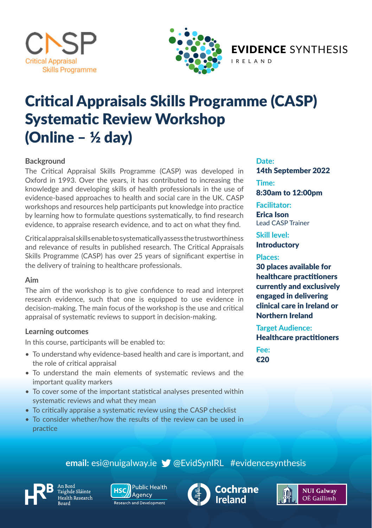



EVIDENCE SYNTHESIS IRELAND

Critical Appraisals Skills Programme (CASP) Systematic Review Workshop (Online – ½ day)

#### **Background**

The Critical Appraisal Skills Programme (CASP) was developed in Oxford in 1993. Over the years, it has contributed to increasing the knowledge and developing skills of health professionals in the use of evidence-based approaches to health and social care in the UK. CASP workshops and resources help participants put knowledge into practice by learning how to formulate questions systematically, to find research evidence, to appraise research evidence, and to act on what they find.

Critical appraisal skills enable to systematically assess the trustworthiness and relevance of results in published research. The Critical Appraisals Skills Programme (CASP) has over 25 years of significant expertise in the delivery of training to healthcare professionals.

#### **Aim**

The aim of the workshop is to give confidence to read and interpret research evidence, such that one is equipped to use evidence in decision-making. The main focus of the workshop is the use and critical appraisal of systematic reviews to support in decision-making.

#### **Learning outcomes**

In this course, participants will be enabled to:

- To understand why evidence-based health and care is important, and the role of critical appraisal
- To understand the main elements of systematic reviews and the important quality markers
- To cover some of the important statistical analyses presented within systematic reviews and what they mean
- To critically appraise a systematic review using the CASP checklist
- To consider whether/how the results of the review can be used in practice

#### **Date:**

14th September 2022 **Time:**  8:30am to 12:00pm

**Facilitator:**  Erica Ison Lead CASP Trainer

**Skill level: Introductory** 

#### **Places:**

30 places available for healthcare practitioners currently and exclusively engaged in delivering clinical care in Ireland or Northern Ireland

**Target Audience:** Healthcare practitioners

**Fee:**  €20

### **email:** esi@nuigalway.ie @EvidSynIRL #evidencesynthesis



aighde Sláinte